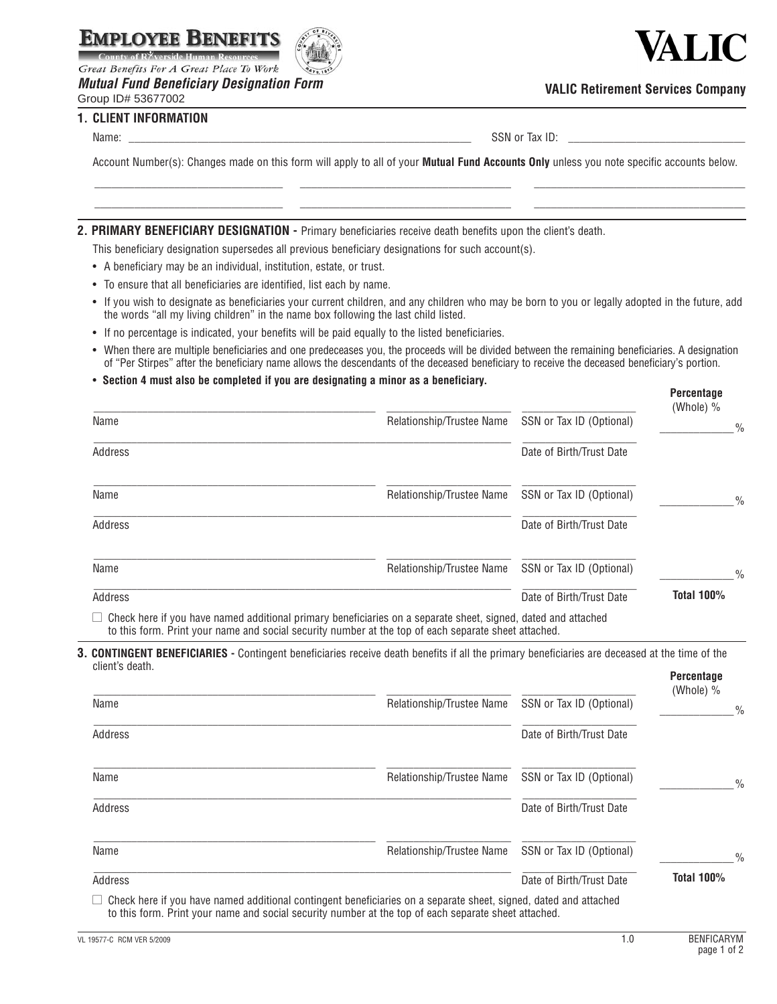

Great Benefits For A Great Place To Work

*Mutual Fund Beneficiary Designation Form*





### **VALIC Retirement Services Company**

**1. CLIENT INFORMATION** 

Name: \_\_\_\_\_\_\_\_\_\_\_\_\_\_\_\_\_\_\_\_\_\_\_\_\_\_\_\_\_\_\_\_\_\_\_\_\_\_\_\_\_\_\_\_\_\_\_\_\_\_\_\_\_\_\_\_\_\_\_\_ SSN or Tax ID: \_\_\_\_\_\_\_\_\_\_\_\_\_\_\_\_\_\_\_\_\_\_\_\_\_\_\_\_\_\_\_

Account Number(s): Changes made on this form will apply to all of your **Mutual Fund Accounts Only** unless you note specific accounts below. \_\_\_\_\_\_\_\_\_\_\_\_\_\_\_\_\_\_\_\_\_\_\_\_\_\_\_\_\_\_\_\_\_ \_\_\_\_\_\_\_\_\_\_\_\_\_\_\_\_\_\_\_\_\_\_\_\_\_\_\_\_\_\_\_\_\_\_\_\_\_ \_\_\_\_\_\_\_\_\_\_\_\_\_\_\_\_\_\_\_\_\_\_\_\_\_\_\_\_\_\_\_\_\_\_\_\_\_

\_\_\_\_\_\_\_\_\_\_\_\_\_\_\_\_\_\_\_\_\_\_\_\_\_\_\_\_\_\_\_\_\_ \_\_\_\_\_\_\_\_\_\_\_\_\_\_\_\_\_\_\_\_\_\_\_\_\_\_\_\_\_\_\_\_\_\_\_\_\_ \_\_\_\_\_\_\_\_\_\_\_\_\_\_\_\_\_\_\_\_\_\_\_\_\_\_\_\_\_\_\_\_\_\_\_\_\_

#### **2. Primary BENEFICIARY DESIGNATION -** Primary beneficiaries receive death benefits upon the client's death.

This beneficiary designation supersedes all previous beneficiary designations for such account(s).

- A beneficiary may be an individual, institution, estate, or trust.
- To ensure that all beneficiaries are identified, list each by name.
- If you wish to designate as beneficiaries your current children, and any children who may be born to you or legally adopted in the future, add the words "all my living children" in the name box following the last child listed.
- If no percentage is indicated, your benefits will be paid equally to the listed beneficiaries.
- When there are multiple beneficiaries and one predeceases you, the proceeds will be divided between the remaining beneficiaries. A designation of "Per Stirpes" after the beneficiary name allows the descendants of the deceased beneficiary to receive the deceased beneficiary's portion.

#### • **Section 4 must also be completed if you are designating a minor as a beneficiary.**

|                                                                                                               |                           |                          | <b>Percentage</b><br>(Whole) % |
|---------------------------------------------------------------------------------------------------------------|---------------------------|--------------------------|--------------------------------|
| Name                                                                                                          | Relationship/Trustee Name | SSN or Tax ID (Optional) | $\frac{0}{0}$                  |
| Address                                                                                                       |                           | Date of Birth/Trust Date |                                |
| Name                                                                                                          | Relationship/Trustee Name | SSN or Tax ID (Optional) | $\frac{0}{0}$                  |
| Address                                                                                                       |                           | Date of Birth/Trust Date |                                |
| Name                                                                                                          | Relationship/Trustee Name | SSN or Tax ID (Optional) | $\frac{0}{0}$                  |
| Address                                                                                                       |                           | Date of Birth/Trust Date | <b>Total 100%</b>              |
| Check here if you have named additional primary beneficiaries on a separate sheet, signed, dated and attached |                           |                          |                                |

to this form. Print your name and social security number at the top of each separate sheet attached.

**3. Contingent Beneficiaries -** Contingent beneficiaries receive death benefits if all the primary beneficiaries are deceased at the time of the client's death. **Percentage**

|                                                                                                                                                                                                                                 |                           |                          | י טויטטוניש<br>(Whole) % |
|---------------------------------------------------------------------------------------------------------------------------------------------------------------------------------------------------------------------------------|---------------------------|--------------------------|--------------------------|
| Name                                                                                                                                                                                                                            | Relationship/Trustee Name | SSN or Tax ID (Optional) | $\frac{0}{0}$            |
| Address                                                                                                                                                                                                                         |                           | Date of Birth/Trust Date |                          |
| Name                                                                                                                                                                                                                            | Relationship/Trustee Name | SSN or Tax ID (Optional) | $\frac{0}{0}$            |
| Address                                                                                                                                                                                                                         |                           | Date of Birth/Trust Date |                          |
| Name                                                                                                                                                                                                                            | Relationship/Trustee Name | SSN or Tax ID (Optional) | $\%$                     |
| Address                                                                                                                                                                                                                         |                           | Date of Birth/Trust Date | <b>Total 100%</b>        |
| $\Box$ Check here if you have named additional contingent beneficiaries on a separate sheet, signed, dated and attached<br>to this form. Print your name and social security number at the top of each separate sheet attached. |                           |                          |                          |

VL 19577-C RCM VER 5/2009 **RENFICARYM BENFICARYM 1.0 BENFICARYM**